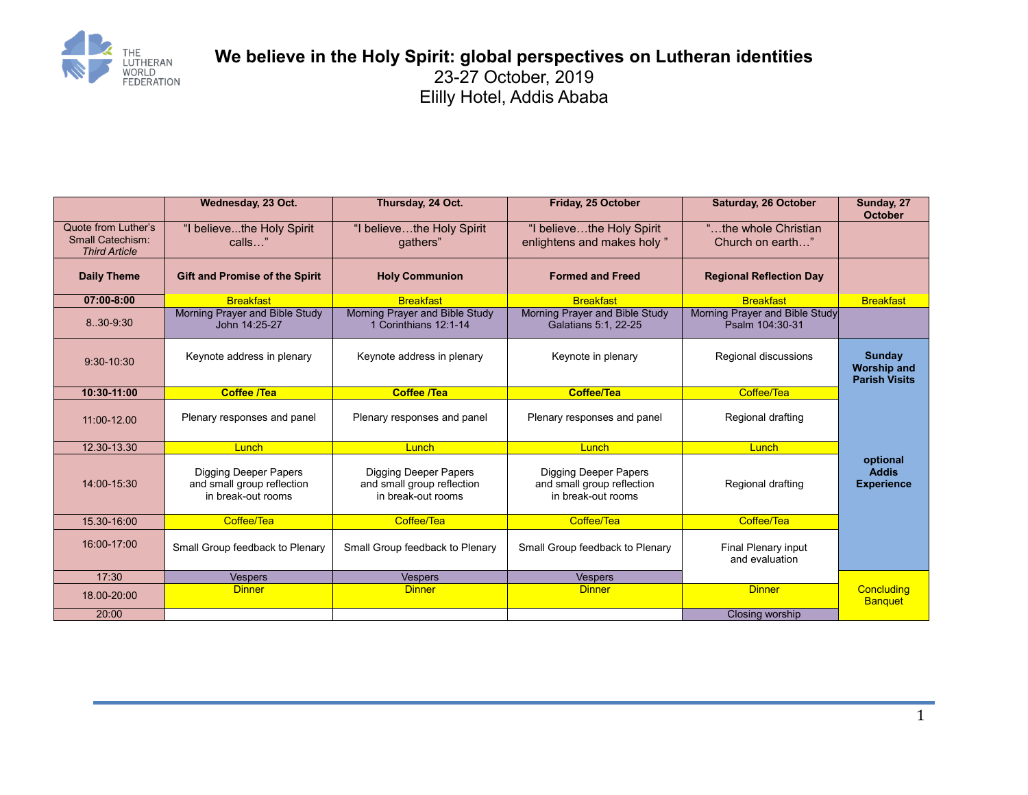

## **We believe in the Holy Spirit: global perspectives on Lutheran identities** 23-27 October, 2019 Elilly Hotel, Addis Ababa

|                                                                 | Wednesday, 23 Oct.                                                               | Thursday, 24 Oct.                                                                | Friday, 25 October                                                               | <b>Saturday, 26 October</b>                       | Sunday, 27<br><b>October</b>                         |
|-----------------------------------------------------------------|----------------------------------------------------------------------------------|----------------------------------------------------------------------------------|----------------------------------------------------------------------------------|---------------------------------------------------|------------------------------------------------------|
| Quote from Luther's<br>Small Catechism:<br><b>Third Article</b> | "I believethe Holy Spirit<br>calls"                                              | "I believethe Holy Spirit<br>qathers"                                            | "I believethe Holy Spirit<br>enlightens and makes holy"                          | "the whole Christian<br>Church on earth"          |                                                      |
| <b>Daily Theme</b>                                              | <b>Gift and Promise of the Spirit</b>                                            | <b>Holy Communion</b>                                                            | <b>Formed and Freed</b>                                                          | <b>Regional Reflection Day</b>                    |                                                      |
| 07:00-8:00                                                      | <b>Breakfast</b>                                                                 | <b>Breakfast</b>                                                                 | <b>Breakfast</b>                                                                 | <b>Breakfast</b>                                  | <b>Breakfast</b>                                     |
| 8.30-9.30                                                       | Morning Prayer and Bible Study<br>John 14:25-27                                  | Morning Prayer and Bible Study<br>1 Corinthians 12:1-14                          | Morning Prayer and Bible Study<br>Galatians 5:1, 22-25                           | Morning Prayer and Bible Study<br>Psalm 104:30-31 |                                                      |
| $9:30-10:30$                                                    | Keynote address in plenary                                                       | Keynote address in plenary                                                       | Keynote in plenary                                                               | Regional discussions                              | Sunday<br><b>Worship and</b><br><b>Parish Visits</b> |
| 10:30-11:00                                                     | <b>Coffee /Tea</b>                                                               | <b>Coffee /Tea</b>                                                               | <b>Coffee/Tea</b>                                                                | Coffee/Tea                                        |                                                      |
| 11:00-12.00                                                     | Plenary responses and panel                                                      | Plenary responses and panel                                                      | Plenary responses and panel                                                      | Regional drafting                                 |                                                      |
| 12.30-13.30                                                     | Lunch                                                                            | Lunch                                                                            | Lunch                                                                            | Lunch                                             |                                                      |
| 14:00-15:30                                                     | <b>Digging Deeper Papers</b><br>and small group reflection<br>in break-out rooms | <b>Digging Deeper Papers</b><br>and small group reflection<br>in break-out rooms | <b>Digging Deeper Papers</b><br>and small group reflection<br>in break-out rooms | Regional drafting                                 | optional<br><b>Addis</b><br><b>Experience</b>        |
| 15.30-16:00                                                     | Coffee/Tea                                                                       | Coffee/Tea                                                                       | Coffee/Tea                                                                       | Coffee/Tea                                        |                                                      |
| 16:00-17:00                                                     | Small Group feedback to Plenary                                                  | Small Group feedback to Plenary                                                  | Small Group feedback to Plenary                                                  | <b>Final Plenary input</b><br>and evaluation      |                                                      |
| 17:30                                                           | <b>Vespers</b>                                                                   | <b>Vespers</b>                                                                   | <b>Vespers</b>                                                                   |                                                   |                                                      |
| 18.00-20:00                                                     | <b>Dinner</b>                                                                    | <b>Dinner</b>                                                                    | <b>Dinner</b>                                                                    | <b>Dinner</b>                                     | Concluding<br><b>Banquet</b>                         |
| 20:00                                                           |                                                                                  |                                                                                  |                                                                                  | Closing worship                                   |                                                      |